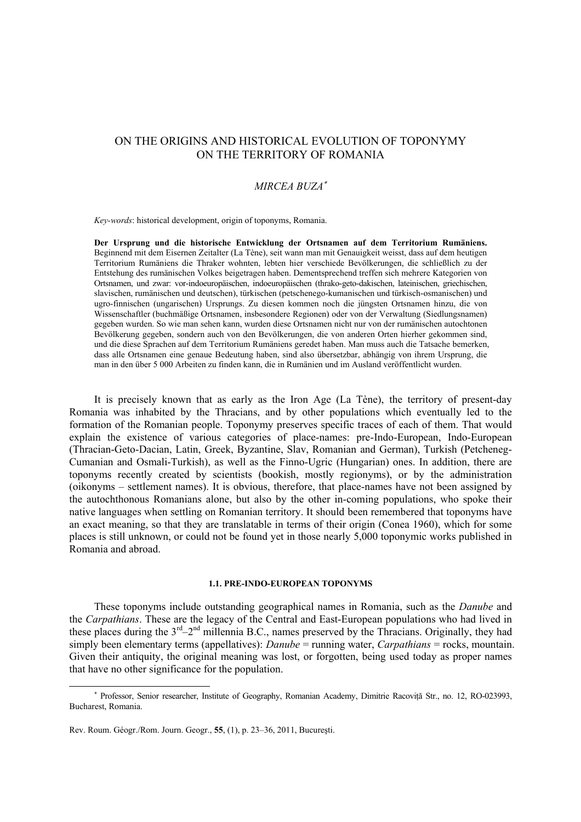# ON THE ORIGINS AND HISTORICAL EVOLUTION OF TOPONYMY ON THE TERRITORY OF ROMANIA

# *MIRCEA BUZA*<sup>∗</sup>

*Key-words*: historical development, origin of toponyms, Romania.

**Der Ursprung und die historische Entwicklung der Ortsnamen auf dem Territorium Rumäniens.** Beginnend mit dem Eisernen Zeitalter (La Tène), seit wann man mit Genauigkeit weisst, dass auf dem heutigen Territorium Rumäniens die Thraker wohnten, lebten hier verschiede Bevölkerungen, die schließlich zu der Entstehung des rumänischen Volkes beigetragen haben. Dementsprechend treffen sich mehrere Kategorien von Ortsnamen, und zwar: vor-indoeuropäischen, indoeuropäischen (thrako-geto-dakischen, lateinischen, griechischen, slavischen, rumänischen und deutschen), türkischen (petschenego-kumanischen und türkisch-osmanischen) und ugro-finnischen (ungarischen) Ursprungs. Zu diesen kommen noch die jüngsten Ortsnamen hinzu, die von Wissenschaftler (buchmäßige Ortsnamen, insbesondere Regionen) oder von der Verwaltung (Siedlungsnamen) gegeben wurden. So wie man sehen kann, wurden diese Ortsnamen nicht nur von der rumänischen autochtonen Bevölkerung gegeben, sondern auch von den Bevölkerungen, die von anderen Orten hierher gekommen sind, und die diese Sprachen auf dem Territorium Rumäniens geredet haben. Man muss auch die Tatsache bemerken, dass alle Ortsnamen eine genaue Bedeutung haben, sind also übersetzbar, abhängig von ihrem Ursprung, die man in den über 5 000 Arbeiten zu finden kann, die in Rumänien und im Ausland veröffentlicht wurden.

It is precisely known that as early as the Iron Age (La Tène), the territory of present-day Romania was inhabited by the Thracians, and by other populations which eventually led to the formation of the Romanian people. Toponymy preserves specific traces of each of them. That would explain the existence of various categories of place-names: pre-Indo-European, Indo-European (Thracian-Geto-Dacian, Latin, Greek, Byzantine, Slav, Romanian and German), Turkish (Petcheneg-Cumanian and Osmali-Turkish), as well as the Finno-Ugric (Hungarian) ones. In addition, there are toponyms recently created by scientists (bookish, mostly regionyms), or by the administration (oikonyms – settlement names). It is obvious, therefore, that place-names have not been assigned by the autochthonous Romanians alone, but also by the other in-coming populations, who spoke their native languages when settling on Romanian territory. It should been remembered that toponyms have an exact meaning, so that they are translatable in terms of their origin (Conea 1960), which for some places is still unknown, or could not be found yet in those nearly 5,000 toponymic works published in Romania and abroad.

### **1.1. PRE-INDO-EUROPEAN TOPONYMS**

These toponyms include outstanding geographical names in Romania, such as the *Danube* and the *Carpathians*. These are the legacy of the Central and East-European populations who had lived in these places during the  $3^{rd}-2^{nd}$  millennia B.C., names preserved by the Thracians. Originally, they had simply been elementary terms (appellatives): *Danube* = running water, *Carpathians* = rocks, mountain. Given their antiquity, the original meaning was lost, or forgotten, being used today as proper names that have no other significance for the population.

 $\overline{a}$ 

<sup>∗</sup> Professor, Senior researcher, Institute of Geography, Romanian Academy, Dimitrie Racoviţă Str., no. 12, RO-023993, Bucharest, Romania.

Rev. Roum. Géogr./Rom. Journ. Geogr., **55**, (1), p. 23–36, 2011, Bucureşti.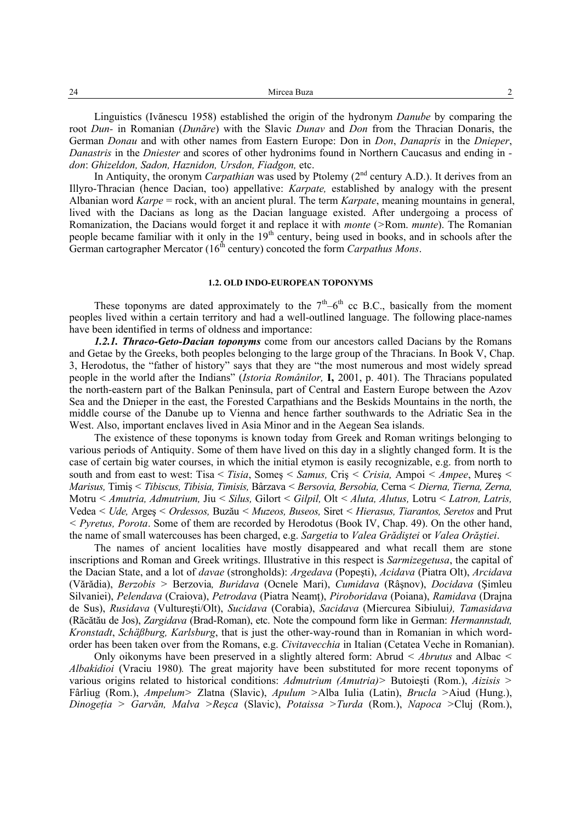| 24  | $1.11$<br>17111 | 1.11777<br>ruza |  |
|-----|-----------------|-----------------|--|
|     |                 |                 |  |
| $-$ | 10.50<br>$\sim$ | $\sim$          |  |

Linguistics (Ivănescu 1958) established the origin of the hydronym *Danube* by comparing the root *Dun-* in Romanian (*Dunăre*) with the Slavic *Dunav* and *Don* from the Thracian Donaris, the German *Donau* and with other names from Eastern Europe: Don in *Don*, *Danapris* in the *Dnieper*, *Danastris* in the *Dniester* and scores of other hydronims found in Northern Caucasus and ending in  *don*: *Ghizeldon, Sadon, Haznidon, Ursdon, Fiadgon,* etc.

In Antiquity, the oronym *Carpathian* was used by Ptolemy (2<sup>nd</sup> century A.D.). It derives from an Illyro-Thracian (hence Dacian, too) appellative: *Karpate,* established by analogy with the present Albanian word *Karpe* = rock, with an ancient plural. The term *Karpate*, meaning mountains in general, lived with the Dacians as long as the Dacian language existed. After undergoing a process of Romanization, the Dacians would forget it and replace it with *monte* (*>*Rom. *munte*). The Romanian people became familiar with it only in the 19<sup>th</sup> century, being used in books, and in schools after the German cartographer Mercator (16<sup>th</sup> century) concoted the form *Carpathus Mons*.

## **1.2. OLD INDO-EUROPEAN TOPONYMS**

These toponyms are dated approximately to the  $7<sup>th</sup>$ –6<sup>th</sup> cc B.C., basically from the moment peoples lived within a certain territory and had a well-outlined language. The following place-names have been identified in terms of oldness and importance:

*1.2.1. Thraco-Geto-Dacian toponyms* come from our ancestors called Dacians by the Romans and Getae by the Greeks, both peoples belonging to the large group of the Thracians. In Book V, Chap. 3, Herodotus, the "father of history" says that they are "the most numerous and most widely spread people in the world after the Indians" (*Istoria Românilor,* **I,** 2001, p. 401). The Thracians populated the north-eastern part of the Balkan Peninsula, part of Central and Eastern Europe between the Azov Sea and the Dnieper in the east, the Forested Carpathians and the Beskids Mountains in the north, the middle course of the Danube up to Vienna and hence farther southwards to the Adriatic Sea in the West. Also, important enclaves lived in Asia Minor and in the Aegean Sea islands.

The existence of these toponyms is known today from Greek and Roman writings belonging to various periods of Antiquity. Some of them have lived on this day in a slightly changed form. It is the case of certain big water courses, in which the initial etymon is easily recognizable, e.g. from north to south and from east to west: Tisa < *Tisia*, Someş *< Samus,* Criş *< Crisia,* Ampoi *< Ampee*, Mureş *< Marisus,* Timiş *< Tibiscus, Tibisia, Timisis,* Bârzava *< Bersovia, Bersobia,* Cerna *< Dierna, Tierna, Zerna,*  Motru *< Amutria, Admutrium,* Jiu *< Silus,* Gilort *< Gilpil,* Olt *< Aluta, Alutus,* Lotru *< Latron, Latris,*  Vedea *< Ude,* Argeş *< Ordessos,* Buzău *< Muzeos, Buseos,* Siret *< Hierasus, Tiarantos, Seretos* and Prut *< Pyretus, Porota*. Some of them are recorded by Herodotus (Book IV, Chap. 49). On the other hand, the name of small watercouses has been charged, e.g. *Sargetia* to *Valea Grădiştei* or *Valea Orăştiei*.

The names of ancient localities have mostly disappeared and what recall them are stone inscriptions and Roman and Greek writings. Illustrative in this respect is *Sarmizegetusa*, the capital of the Dacian State, and a lot of *davae* (strongholds): *Argedava* (Popeşti), *Acidava* (Piatra Olt), *Arcidava*  (Vărădia), *Berzobis >* Berzovia*, Buridava* (Ocnele Mari), *Cumidava* (Râşnov), *Docidava* (Şimleu Silvaniei), *Pelendava* (Craiova), *Petrodava* (Piatra Neamţ), *Piroboridava* (Poiana), *Ramidava* (Drajna de Sus), *Rusidava* (Vultureşti/Olt), *Sucidava* (Corabia), *Sacidava* (Miercurea Sibiului*), Tamasidava*  (Răcătău de Jos), *Zargidava* (Brad-Roman), etc. Note the compound form like in German: *Hermannstadt, Kronstadt*, *Schäßburg, Karlsburg*, that is just the other-way-round than in Romanian in which wordorder has been taken over from the Romans, e.g. *Civitavecchia* in Italian (Cetatea Veche in Romanian).

Only oikonyms have been preserved in a slightly altered form: Abrud *< Abrutus* and Albac *< Albakidioi* (Vraciu 1980)*.* The great majority have been substituted for more recent toponyms of various origins related to historical conditions: *Admutrium (Amutria)>* Butoieşti (Rom.), *Aizisis >*  Fârliug (Rom.), *Ampelum>* Zlatna (Slavic), *Apulum >*Alba Iulia (Latin), *Brucla >*Aiud (Hung.), *Dinogeţia > Garvăn, Malva >Reşca* (Slavic), *Potaissa >Turda* (Rom.), *Napoca >*Cluj (Rom.),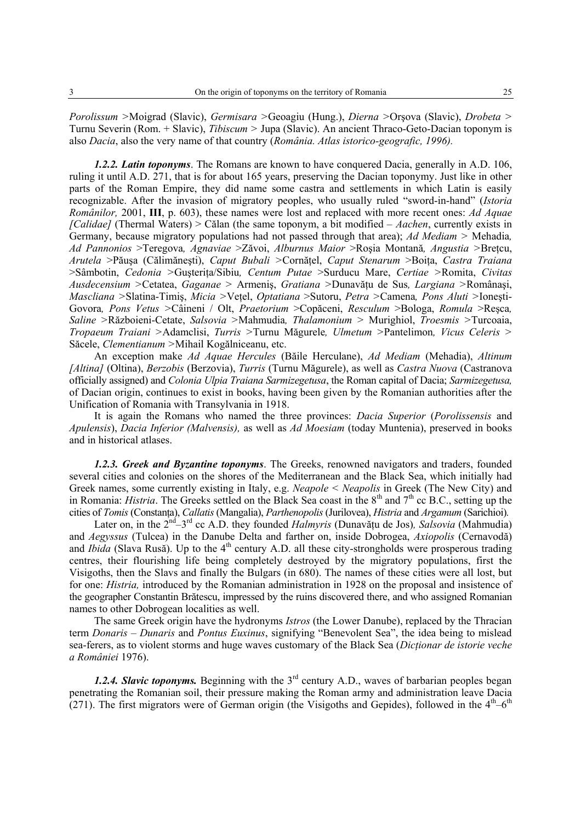*Porolissum >*Moigrad (Slavic), *Germisara >*Geoagiu (Hung.), *Dierna >*Orşova (Slavic), *Drobeta >*  Turnu Severin (Rom. + Slavic), *Tibiscum >* Jupa (Slavic). An ancient Thraco-Geto-Dacian toponym is also *Dacia*, also the very name of that country (*România. Atlas istorico-geografic, 1996).*

*1.2.2. Latin toponyms*. The Romans are known to have conquered Dacia, generally in A.D. 106, ruling it until A.D. 271, that is for about 165 years, preserving the Dacian toponymy. Just like in other parts of the Roman Empire, they did name some castra and settlements in which Latin is easily recognizable. After the invasion of migratory peoples, who usually ruled "sword-in-hand" (*Istoria Românilor,* 2001, **III**, p. 603), these names were lost and replaced with more recent ones: *Ad Aquae [Calidae]* (Thermal Waters) > Călan (the same toponym, a bit modified – *Aachen*, currently exists in Germany, because migratory populations had not passed through that area); *Ad Mediam >* Mehadia*, Ad Pannonios* >Teregova*, Agnaviae* >Zăvoi, *Alburnus Maior* >Roşia Montană*, Angustia >*Breţcu, *Arutela* >Păuşa (Călimăneşti), *Caput Bubali >*Cornăţel, *Caput Stenarum* >Boiţa, *Castra Traiana* >Sâmbotin, *Cedonia >*Guşteriţa/Sibiu*, Centum Putae* >Surducu Mare, *Certiae >*Romita, *Civitas Ausdecensium >*Cetatea, *Gaganae >* Armeniş, *Gratiana >*Dunavăţu de Sus*, Largiana >*Românaşi, *Mascliana >*Slatina-Timiş, *Micia >*Veţel, *Optatiana* >Sutoru, *Petra >*Camena*, Pons Aluti >*Ioneşti-Govora*, Pons Vetus >*Câineni / Olt, *Praetorium* >Copăceni, *Resculum* >Bologa, *Romula* >Reşca*, Saline >*Războieni-Cetate, *Salsovia >*Mahmudia*, Thalamonium >* Murighiol, *Troesmis >*Turcoaia, *Tropaeum Traiani >*Adamclisi, *Turris >*Turnu Măgurele*, Ulmetum >*Pantelimon*, Vicus Celeris >*  Săcele, *Clementianum >*Mihail Kogălniceanu, etc.

An exception make *Ad Aquae Hercules* (Băile Herculane), *Ad Mediam* (Mehadia), *Altinum [Altina]* (Oltina), *Berzobis* (Berzovia), *Turris* (Turnu Măgurele), as well as *Castra Nuova* (Castranova officially assigned) and *Colonia Ulpia Traiana Sarmizegetusa*, the Roman capital of Dacia; *Sarmizegetusa,* of Dacian origin, continues to exist in books, having been given by the Romanian authorities after the Unification of Romania with Transylvania in 1918.

It is again the Romans who named the three provinces: *Dacia Superior* (*Porolissensis* and *Apulensis*), *Dacia Inferior (Malvensis),* as well as *Ad Moesiam* (today Muntenia), preserved in books and in historical atlases.

*1.2.3. Greek and Byzantine toponyms*. The Greeks, renowned navigators and traders, founded several cities and colonies on the shores of the Mediterranean and the Black Sea, which initially had Greek names, some currently existing in Italy, e.g. *Neapole < Neapolis* in Greek (The New City) and in Romania: *Histria*. The Greeks settled on the Black Sea coast in the  $8<sup>th</sup>$  and  $7<sup>th</sup>$  cc B.C., setting up the cities of *Tomis* (Constanţa), *Callatis* (Mangalia), *Parthenopolis* (Jurilovea), *Histria* and *Argamum* (Sarichioi)*.*

Later on, in the 2<sup>nd</sup>–3<sup>rd</sup> cc A.D. they founded *Halmyris* (Dunavățu de Jos), Salsovia (Mahmudia) and *Aegyssus* (Tulcea) in the Danube Delta and farther on, inside Dobrogea, *Axiopolis* (Cernavodă) and *Ibida* (Slava Rusă). Up to the  $4<sup>th</sup>$  century A.D. all these city-strongholds were prosperous trading centres, their flourishing life being completely destroyed by the migratory populations, first the Visigoths, then the Slavs and finally the Bulgars (in 680). The names of these cities were all lost, but for one: *Histria,* introduced by the Romanian administration in 1928 on the proposal and insistence of the geographer Constantin Brătescu, impressed by the ruins discovered there, and who assigned Romanian names to other Dobrogean localities as well.

The same Greek origin have the hydronyms *Istros* (the Lower Danube), replaced by the Thracian term *Donaris – Dunaris* and *Pontus Euxinus*, signifying "Benevolent Sea", the idea being to mislead sea-ferers, as to violent storms and huge waves customary of the Black Sea (*Dicţionar de istorie veche a României* 1976).

**1.2.4. Slavic toponyms.** Beginning with the 3<sup>rd</sup> century A.D., waves of barbarian peoples began penetrating the Romanian soil, their pressure making the Roman army and administration leave Dacia (271). The first migrators were of German origin (the Visigoths and Gepides), followed in the  $4<sup>th</sup>$ -6<sup>th</sup>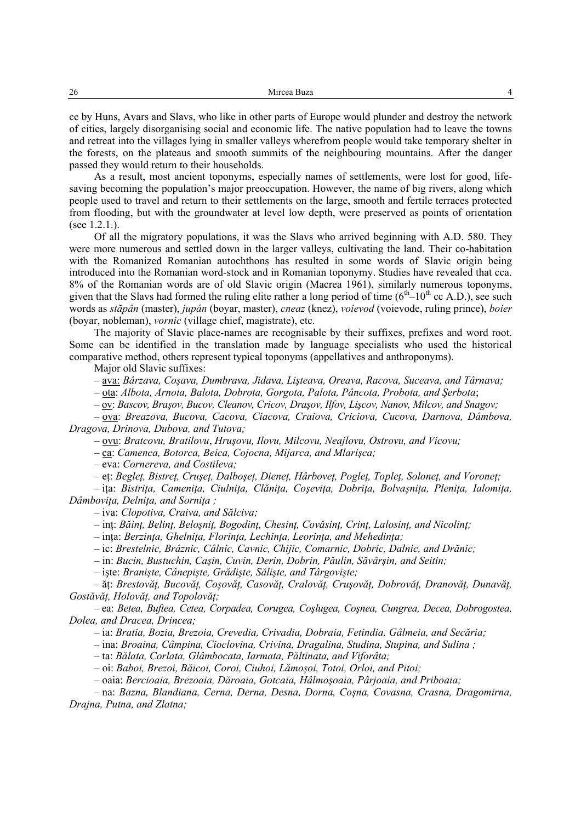cc by Huns, Avars and Slavs, who like in other parts of Europe would plunder and destroy the network of cities, largely disorganising social and economic life. The native population had to leave the towns and retreat into the villages lying in smaller valleys wherefrom people would take temporary shelter in the forests, on the plateaus and smooth summits of the neighbouring mountains. After the danger passed they would return to their households.

As a result, most ancient toponyms, especially names of settlements, were lost for good, lifesaving becoming the population's major preoccupation. However, the name of big rivers, along which people used to travel and return to their settlements on the large, smooth and fertile terraces protected from flooding, but with the groundwater at level low depth, were preserved as points of orientation (see 1.2.1.).

Of all the migratory populations, it was the Slavs who arrived beginning with A.D. 580. They were more numerous and settled down in the larger valleys, cultivating the land. Their co-habitation with the Romanized Romanian autochthons has resulted in some words of Slavic origin being introduced into the Romanian word-stock and in Romanian toponymy. Studies have revealed that cca. 8% of the Romanian words are of old Slavic origin (Macrea 1961), similarly numerous toponyms, given that the Slavs had formed the ruling elite rather a long period of time  $(6<sup>th</sup>-10<sup>th</sup>$  cc A.D.), see such words as *stăpân* (master), *jupân* (boyar, master), *cneaz* (knez), *voievod* (voievode, ruling prince), *boier* (boyar, nobleman), *vornic* (village chief, magistrate), etc.

The majority of Slavic place-names are recognisable by their suffixes, prefixes and word root. Some can be identified in the translation made by language specialists who used the historical comparative method, others represent typical toponyms (appellatives and anthroponyms).

Major old Slavic suffixes:

– ava: *Bârzava, Coşava, Dumbrava, Jidava, Lişteava, Oreava, Racova, Suceava, and Târnava;*

– ota: *Albota, Arnota, Balota, Dobrota, Gorgota, Palota, Pâncota, Probota, and Şerbota*;

– ov: *Bascov, Braşov, Bucov, Cleanov, Cricov, Draşov, Ilfov, Lişcov, Nanov, Milcov, and Snagov;* 

– ova: *Breazova, Bucova, Cacova, Ciacova, Craiova, Criciova, Cucova, Darnova, Dâmbova, Dragova, Drinova, Dubova, and Tutova;*

– ovu: *Bratcovu, Bratilovu*, *Hruşovu, Ilovu, Milcovu, Neajlovu, Ostrovu, and Vicovu;* 

– ca: *Camenca, Botorca, Beica, Cojocna, Mijarca, and Mlarişca;* 

– eva: *Cornereva, and Costileva;* 

– eţ: *Begleţ, Bistreţ, Cruşeţ, Dalboşeţ, Dieneţ, Hârboveţ, Pogleţ, Topleţ, Soloneţ, and Voroneţ;* 

– iţa: *Bistriţa, Cameniţa, Ciulniţa, Clăniţa, Coşeviţa, Dobriţa, Bolvaşniţa, Pleniţa, Ialomiţa, Dâmboviţa, Delniţa, and Sorniţa ;* 

– iva: *Clopotiva, Craiva, and Sălciva;* 

– inţ: *Băinţ, Belinţ, Beloşniţ, Bogodinţ, Chesinţ, Covăsinţ, Crinţ, Lalosinţ, and Nicolinţ;* 

– inţa: *Berzinţa, Ghelniţa, Florinţa, Lechinţa, Leorinţa, and Mehedinţa;* 

– ic: *Brestelnic, Brâznic, Câlnic, Cavnic, Chijic, Comarnic, Dobric, Dalnic, and Drănic;* 

– in: *Bucin, Bustuchin, Caşin, Cuvin, Derin, Dobrin, Păulin, Săvârşin, and Seitin;* 

– işte: *Branişte, Cânepişte, Grădişte, Sălişte, and Târgovişte;* 

– ăţ: *Brestovăţ, Bucovăţ, Coşovăţ, Casovăţ, Cralovăţ, Cruşovăţ, Dobrovăţ, Dranovăţ, Dunavăţ, Gostăvăţ, Holovăţ, and Topolovăţ;* 

– ea: *Betea, Buftea, Cetea, Corpadea, Corugea, Coşlugea, Coşnea, Cungrea, Decea, Dobrogostea, Dolea, and Dracea, Drincea;* 

– ia: *Bratia, Bozia, Brezoia, Crevedia, Crivadia, Dobraia, Fetindia, Gâlmeia, and Secăria;* 

– ina: *Broaina, Câmpina, Cioclovina, Crivina, Dragalina, Studina, Stupina, and Sulina ;* 

– ta: *Bălata, Corlata, Glâmbocata, Iarmata, Păltinata, and Viforâta;* 

– oi: *Baboi, Brezoi, Băicoi, Coroi, Ciuhoi, Lămoşoi, Totoi, Orloi, and Pitoi;* 

– oaia: *Bercioaia, Brezoaia, Dăroaia, Gotcaia, Hâlmoşoaia, Pârjoaia, and Priboaia;* 

– na: *Bazna, Blandiana, Cerna, Derna, Desna, Dorna, Coşna, Covasna, Crasna, Dragomirna, Drajna, Putna, and Zlatna;*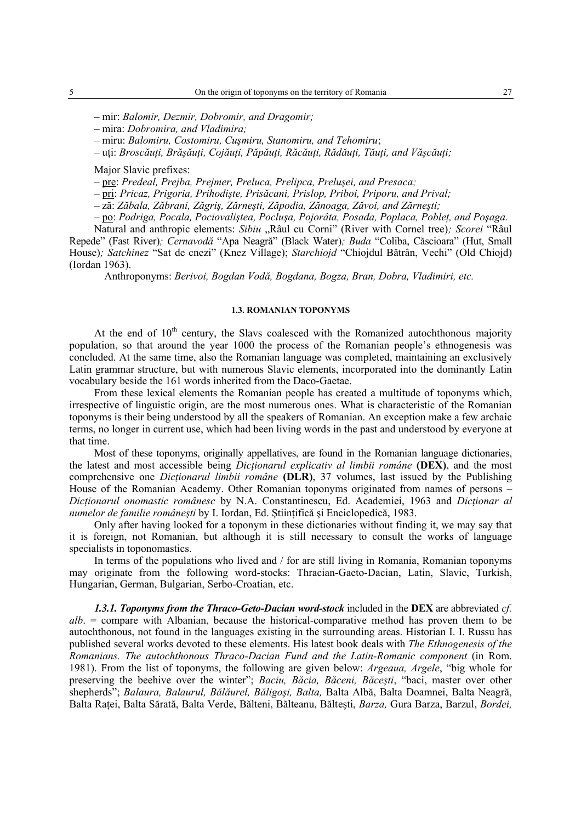– mir: *Balomir, Dezmir, Dobromir, and Dragomir;* 

– mira: *Dobromira, and Vladimira;* 

– miru: *Balomiru, Costomiru, Cuşmiru, Stanomiru, and Tehomiru*;

– uţi: *Broscăuţi, Brăşăuţi, Cojăuţi, Păpăuţi, Răcăuţi, Rădăuţi, Tăuţi, and Văşcăuţi;* 

Major Slavic prefixes:

– pre: *Predeal, Prejba, Prejmer, Preluca, Prelipca, Preluşei, and Presaca;* 

– pri: *Pricaz, Prigoria, Prihodişte, Prisăcani, Prislop, Priboi, Priporu, and Prival;* 

– ză: *Zăbala, Zăbrani, Zăgriş, Zărneşti, Zăpodia, Zănoaga, Zăvoi, and Zărneşti;* 

– po: *Podriga, Pocala, Pociovaliştea, Pocluşa, Pojorâta, Posada, Poplaca, Pobleţ, and Poşaga.* 

Natural and anthropic elements: *Sibiu* "Râul cu Corni" (River with Cornel tree); Scorei "Râul Repede" (Fast River)*; Cernavodă* "Apa Neagră" (Black Water)*; Buda* "Coliba, Căscioara" (Hut, Small House)*; Satchinez* "Sat de cnezi" (Knez Village); *Starchiojd* "Chiojdul Bătrân, Vechi" (Old Chiojd) (Iordan 1963).

Anthroponyms: *Berivoi, Bogdan Vodă, Bogdana, Bogza, Bran, Dobra, Vladimiri, etc.* 

### **1.3. ROMANIAN TOPONYMS**

At the end of  $10<sup>th</sup>$  century, the Slavs coalesced with the Romanized autochthonous majority population, so that around the year 1000 the process of the Romanian people's ethnogenesis was concluded. At the same time, also the Romanian language was completed, maintaining an exclusively Latin grammar structure, but with numerous Slavic elements, incorporated into the dominantly Latin vocabulary beside the 161 words inherited from the Daco-Gaetae.

From these lexical elements the Romanian people has created a multitude of toponyms which, irrespective of linguistic origin, are the most numerous ones. What is characteristic of the Romanian toponyms is their being understood by all the speakers of Romanian. An exception make a few archaic terms, no longer in current use, which had been living words in the past and understood by everyone at that time.

Most of these toponyms, originally appellatives, are found in the Romanian language dictionaries, the latest and most accessible being *Dicţionarul explicativ al limbii române* **(DEX)**, and the most comprehensive one *Dicţionarul limbii române* **(DLR)**, 37 volumes, last issued by the Publishing House of the Romanian Academy. Other Romanian toponyms originated from names of persons – *Dictionarul onomastic românesc* by N.A. Constantinescu, Ed. Academiei, 1963 and *Dictionar al numelor de familie româneşti* by I. Iordan, Ed. Ştiinţifică şi Enciclopedică, 1983.

Only after having looked for a toponym in these dictionaries without finding it, we may say that it is foreign, not Romanian, but although it is still necessary to consult the works of language specialists in toponomastics.

In terms of the populations who lived and / for are still living in Romania, Romanian toponyms may originate from the following word-stocks: Thracian-Gaeto-Dacian, Latin, Slavic, Turkish, Hungarian, German, Bulgarian, Serbo-Croatian, etc.

*1.3.1. Toponyms from the Thraco-Geto-Dacian word-stock* included in the **DEX** are abbreviated *cf. alb*. = compare with Albanian, because the historical-comparative method has proven them to be autochthonous, not found in the languages existing in the surrounding areas. Historian I. I. Russu has published several works devoted to these elements. His latest book deals with *The Ethnogenesis of the Romanians. The autochthonous Thraco-Dacian Fund and the Latin-Romanic component* (in Rom. 1981). From the list of toponyms, the following are given below: *Argeaua, Argele*, "big whole for preserving the beehive over the winter"; *Baciu, Băcia, Băceni, Băceşti*, "baci, master over other shepherds"; *Balaura, Balaurul, Bălăurel, Băligoşi, Balta,* Balta Albă, Balta Doamnei, Balta Neagră, Balta Raţei, Balta Sărată, Balta Verde, Bălteni, Bălteanu, Bălteşti, *Barza,* Gura Barza, Barzul, *Bordei,*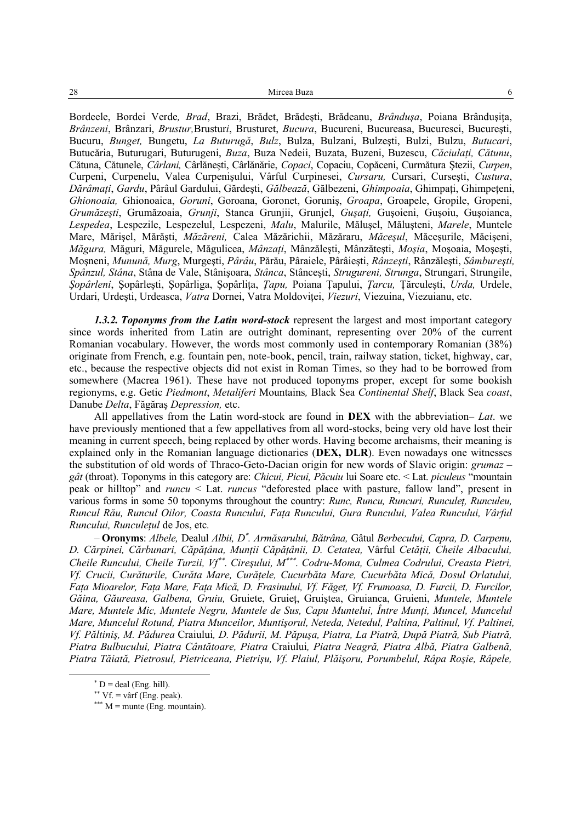Bordeele, Bordei Verde*, Brad*, Brazi, Brădet, Brădeşti, Brădeanu, *Brânduşa*, Poiana Brânduşiţa, *Brânzeni*, Brânzari, *Brustur,*Brustur*i*, Brusturet, *Bucura*, Bucureni, Bucureasa, Bucuresci, Bucureşti, Bucuru, *Bunget,* Bungetu, *La Buturugă*, *Bulz*, Bulza, Bulzani, Bulzeşti, Bulzi, Bulzu, *Butucari*, Butucăria, Buturugari, Buturugeni, *Buza*, Buza Nedeii, Buzata, Buzeni, Buzescu, *Căciulaţi, Cătunu*, Cătuna, Cătunele, *Cârlani,* Cârlăneşti, Cârlănărie, *Copaci*, Copaciu, Copăceni, Curmătura Ştezii, *Curpen*, Curpeni, Curpenelu, Valea Curpenişului, Vârful Curpinesei, *Cursaru,* Cursari, Curseşti, *Custura*, *Dărâmaţi*, *Gardu*, Pârâul Gardului, Gărdeşti, *Gălbează*, Gălbezeni, *Ghimpoaia*, Ghimpaţi, Ghimpeţeni, *Ghionoaia,* Ghionoaica, *Goruni*, Goroana, Goronet, Goruniş, *Groapa*, Groapele, Gropile, Gropeni, *Grumăzeşti*, Grumăzoaia, *Grunji*, Stanca Grunjii, Grunjel, *Guşaţi,* Guşoieni, Guşoiu, Guşoianca, *Lespedea*, Lespezile, Lespezelul, Lespezeni, *Malu*, Malurile, Măluşel, Măluşteni, *Marele*, Muntele Mare, Mărişel, Mărăşti, *Măzăreni,* Calea Măzărichii, Măzăraru, *Măceşul*, Măceşurile, Măcişeni, *Măgura,* Măguri, Măgurele, Măgulicea, *Mânzaţi*, Mânzăleşti, Mânzăteşti, *Moşia*, Moşoaia, Moşeşti, Moşneni, *Munună, Murg*, Murgeşti, *Pârâu*, Părău, Pâraiele, Pârâieşti, *Rânzeşti*, Rânzăleşti, *Sâmbureşti, Spânzul, Stâna*, Stâna de Vale, Stânişoara, *Stânca*, Stânceşti, *Strugureni, Strunga*, Strungari, Strungile, *Şopârleni*, Şopârleşti, Şopârliga, Şopârliţa, *Ţapu,* Poiana Ţapului, *Ţarcu,* Ţărculeşti, *Urda,* Urdele, Urdari, Urdeşti, Urdeasca, *Vatra* Dornei, Vatra Moldoviţei, *Viezuri*, Viezuina, Viezuianu, etc.

*1.3.2. Toponyms from the Latin word-stock* represent the largest and most important category since words inherited from Latin are outright dominant, representing over 20% of the current Romanian vocabulary. However, the words most commonly used in contemporary Romanian (38%) originate from French, e.g. fountain pen, note-book, pencil, train, railway station, ticket, highway, car, etc., because the respective objects did not exist in Roman Times, so they had to be borrowed from somewhere (Macrea 1961). These have not produced toponyms proper, except for some bookish regionyms, e.g. Getic *Piedmont*, *Metaliferi* Mountains*,* Black Sea *Continental Shelf*, Black Sea *coast*, Danube *Delta*, Făgăraş *Depression,* etc.

All appellatives from the Latin word-stock are found in **DEX** with the abbreviation– *Lat*. we have previously mentioned that a few appellatives from all word-stocks, being very old have lost their meaning in current speech, being replaced by other words. Having become archaisms, their meaning is explained only in the Romanian language dictionaries (**DEX, DLR**). Even nowadays one witnesses the substitution of old words of Thraco-Geto-Dacian origin for new words of Slavic origin: *grumaz* – *gât* (throat). Toponyms in this category are: *Chicui, Picui, Păcuiu* lui Soare etc. < Lat. *piculeus* "mountain peak or hilltop" and *runcu* < Lat. *runcus* "deforested place with pasture, fallow land", present in various forms in some 50 toponyms throughout the country: *Runc, Runcu, Runcuri, Runculet, Runculeu*, *Runcul Rău, Runcul Oilor, Coasta Runcului, Faţa Runcului, Gura Runcului, Valea Runcului, Vârful Runcului, Runculeţul* de Jos, etc*.*

– **Oronyms**: *Albele,* Dealul *Albii, D*<sup>∗</sup> *. Armăsarului, Bătrâna,* Gâtul *Berbecului, Capra, D. Carpenu, D. Cărpinei, Cărbunari, Căpăţâna, Munţii Căpăţânii, D. Cetatea,* Vârful *Cetăţii, Cheile Albacului, Cheile Runcului, Cheile Turzii, Vf*∗∗ *. Cireşului, M*∗∗∗ *. Codru-Moma, Culmea Codrului, Creasta Pietri, Vf. Crucii, Curăturile, Curăta Mare, Curăţele, Cucurbăta Mare, Cucurbăta Mică, Dosul Orlatului, Faţa Mioarelor, Faţa Mare, Faţa Mică, D. Frasinului, Vf. Făget, Vf. Frumoasa, D. Furcii, D. Furcilor, Găina, Găureasa, Galbena, Gruiu,* Gruiete, Gruieţ, Gruiştea, Gruianca, Gruieni, *Muntele, Muntele Mare, Muntele Mic, Muntele Negru, Muntele de Sus, Capu Muntelui, Între Munţi, Muncel, Muncelul Mare, Muncelul Rotund, Piatra Munceilor, Muntişorul, Neteda, Netedul, Paltina, Paltinul, Vf. Paltinei, Vf. Păltiniş, M. Pădurea* Craiului*, D. Pădurii, M. Păpuşa, Piatra, La Piatră, După Piatră, Sub Piatră, Piatra Bulbucului, Piatra Cântătoare, Piatra* Craiului*, Piatra Neagră, Piatra Albă, Piatra Galbenă, Piatra Tăiată, Pietrosul, Pietriceana, Pietrişu, Vf. Plaiul, Plăişoru, Porumbelul, Râpa Roşie, Râpele,* 

 $\overline{a}$ 

 $*$  D = deal (Eng. hill).

 $*$ <sup>\*</sup> Vf. = vârf (Eng. peak).

<sup>∗∗∗</sup> M = munte (Eng. mountain).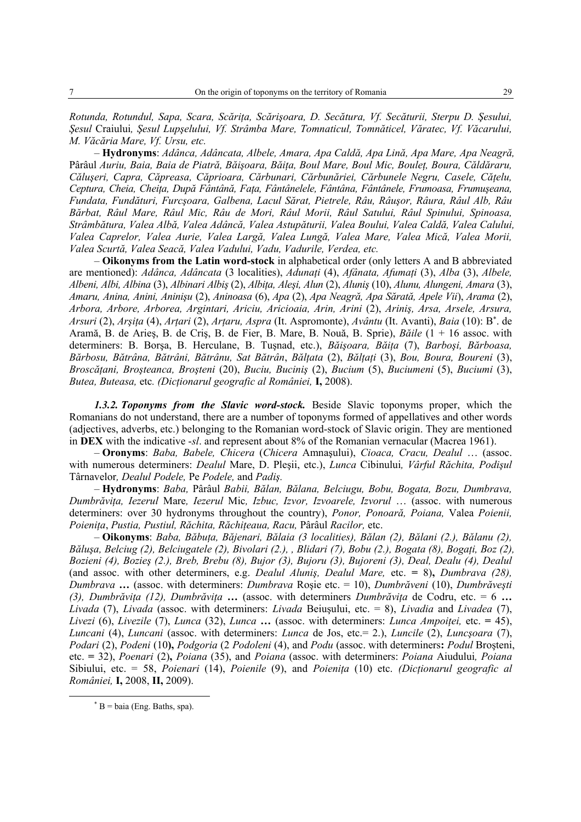*Rotunda, Rotundul, Sapa, Scara, Scăriţa, Scărişoara, D. Secătura, Vf. Secăturii, Sterpu D. Şesului, Şesul* Craiului*, Şesul Lupşelului, Vf. Strâmba Mare, Tomnaticul, Tomnăticel, Văratec, Vf. Văcarului, M. Văcăria Mare, Vf. Ursu, etc.*

– **Hydronyms**: *Adânca, Adâncata, Albele, Amara, Apa Caldă, Apa Lină, Apa Mare, Apa Neagră,*  Pârâul *Auriu, Baia, Baia de Piatră, Băişoara, Băiţa, Boul Mare, Boul Mic, Bouleţ, Boura, Căldăraru, Căluşeri, Capra, Căpreasa, Căprioara, Cărbunari, Cărbunăriei, Cărbunele Negru, Casele, Căţelu, Ceptura, Cheia, Cheiţa, După Fântână, Faţa, Fântânelele, Fântâna, Fântânele, Frumoasa, Frumuşeana, Fundata, Fundături, Furcşoara, Galbena, Lacul Sărat, Pietrele, Râu, Râuşor, Râura, Râul Alb, Râu Bărbat, Râul Mare, Râul Mic, Râu de Mori, Râul Morii, Râul Satului, Râul Spinului, Spinoasa, Strâmbătura, Valea Albă, Valea Adâncă, Valea Astupăturii, Valea Boului, Valea Caldă, Valea Calului, Valea Caprelor, Valea Aurie, Valea Largă, Valea Lungă, Valea Mare, Valea Mică, Valea Morii, Valea Scurtă, Valea Seacă, Valea Vadului, Vadu, Vadurile, Verdea, etc.* 

– **Oikonyms from the Latin word-stock** in alphabetical order (only letters A and B abbreviated are mentioned): *Adânca, Adâncata* (3 localities), *Adunaţi* (4), *Afânata, Afumaţi* (3), *Alba* (3), *Albele, Albeni, Albi, Albina* (3), *Albinari Albiş* (2), *Albiţa, Aleşi, Alun* (2), *Aluniş* (10), *Alunu, Alungeni, Amara* (3), *Amaru, Anina, Anini, Aninişu* (2), *Aninoasa* (6), *Apa* (2), *Apa Neagră, Apa Sărată, Apele Vii*), *Arama* (2), *Arbora, Arbore, Arborea, Argintari, Ariciu, Aricioaia, Arin, Arini* (2), *Ariniş, Arsa, Arsele, Arsura, Arsuri* (2), *Arşiţa* (4), *Arţari* (2), *Arţaru, Aspra* (It. Aspromonte), *Avântu* (It. Avanti), *Baia* (10): B<sup>∗</sup> . de Aramă, B. de Arieş, B. de Criş, B. de Fier, B. Mare, B. Nouă, B. Sprie), *Băile* (1 + 16 assoc. with determiners: B. Borşa, B. Herculane, B. Tuşnad, etc.), *Băişoara, Băiţa* (7), *Barboşi, Bărboasa, Bărbosu, Bătrâna, Bătrâni, Bătrânu, Sat Bătrân*, *Bălţata* (2), *Bălţaţi* (3), *Bou, Boura, Boureni* (3), *Broscăţani, Broşteanca, Broşteni* (20), *Buciu, Buciniş* (2), *Bucium* (5), *Buciumeni* (5), *Buciumi* (3), *Butea, Buteasa,* etc*. (Dicţionarul geografic al României,* **I,** 2008).

*1.3.2. Toponyms from the Slavic word-stock.* Beside Slavic toponyms proper, which the Romanians do not understand, there are a number of toponyms formed of appellatives and other words (adjectives, adverbs, etc.) belonging to the Romanian word-stock of Slavic origin. They are mentioned in **DEX** with the indicative -*sl*. and represent about 8% of the Romanian vernacular (Macrea 1961).

– **Oronyms**: *Baba, Babele, Chicera* (*Chicera* Amnaşului), *Cioaca, Cracu, Dealul* … (assoc. with numerous determiners: *Dealul* Mare, D. Pleşii, etc.), *Lunca* Cibinului*, Vârful Răchita, Podişul*  Târnavelor*, Dealul Podele,* Pe *Podele,* and *Padiş.* 

– **Hydronyms**: *Baba,* Pârâul *Babii, Bălan, Bălana, Belciugu, Bobu, Bogata, Bozu, Dumbrava, Dumbrăviţa, Iezerul* Mare*, Iezerul* Mic*, Izbuc, Izvor, Izvoarele, Izvorul* … (assoc. with numerous determiners: over 30 hydronyms throughout the country), *Ponor, Ponoară, Poiana,* Valea *Poienii, Poieniţa*, *Pustia, Pustiul, Răchita, Răchiţeaua, Racu,* Pârâul *Racilor,* etc.

– **Oikonyms**: *Baba, Băbuţa, Băjenari, Bălaia (3 localities), Bălan (2), Bălani (2.), Bălanu (2), Băluşa, Belciug (2), Belciugatele (2), Bivolari (2.), , Blidari (7), Bobu (2.), Bogata (8), Bogaţi, Boz (2), Bozieni (4), Bozieş (2.), Breb, Brebu (8), Bujor (3), Bujoru (3), Bujoreni (3), Deal, Dealu (4), Dealul* (and assoc. with other determiners, e.g. *Dealul Aluniş, Dealul Mare,* etc. **=** 8)**,** *Dumbrava (28), Dumbrava* **…** (assoc. with determiners: *Dumbrava* Roşie etc. = 10), *Dumbrăveni* (10), *Dumbrăveşti (3), Dumbrăviţa (12), Dumbrăviţa* **…** (assoc. with determiners *Dumbrăviţa* de Codru, etc. = 6 **…**  *Livada* (7), *Livada* (assoc. with determiners: *Livada* Beiuşului, etc. = 8), *Livadia* and *Livadea* (7), *Livezi* (6), *Livezile* (7), *Lunca* (32), *Lunca* **…** (assoc. with determiners: *Lunca Ampoiţei,* etc. **=** 45), *Luncani* (4), *Luncani* (assoc. with determiners: *Lunca* de Jos, etc.= 2.), *Luncile* (2), *Luncşoara* (7), *Podari* (2), *Podeni* (10**),** *Podgoria* (2 *Podoleni* (4), and *Podu* (assoc. with determiners**:** *Podul* Broşteni, etc. **=** 32), *Poenari* (2)**,** *Poiana* (35), and *Poiana* (assoc. with determiners: *Poiana* Aiudului*, Poiana*  Sibiului, etc. = 58, *Poienari* (14), *Poienile* (9), and *Poienita* (10) etc. *(Dictionarul geografic al României,* **I,** 2008, **II,** 2009).

l

 $*$  B = baia (Eng. Baths, spa).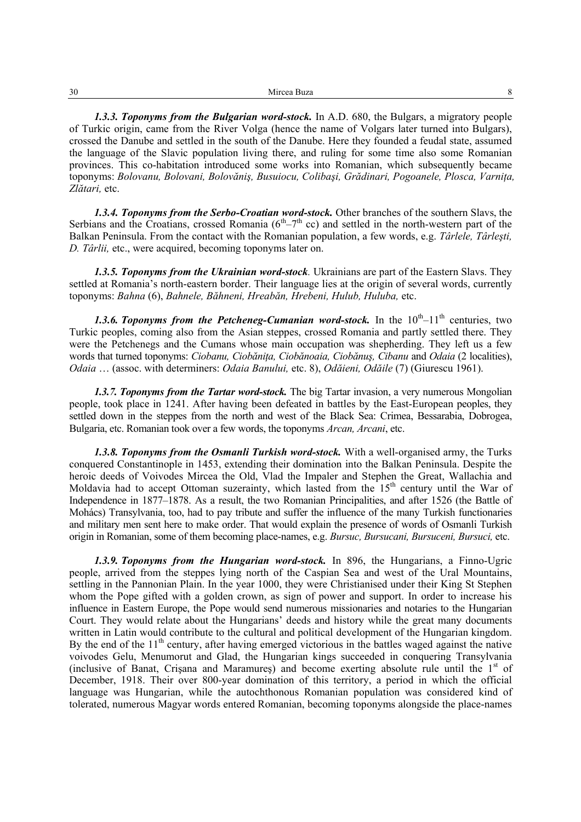*1.3.3. Toponyms from the Bulgarian word-stock.* In A.D. 680, the Bulgars, a migratory people of Turkic origin, came from the River Volga (hence the name of Volgars later turned into Bulgars), crossed the Danube and settled in the south of the Danube. Here they founded a feudal state, assumed the language of the Slavic population living there, and ruling for some time also some Romanian provinces. This co-habitation introduced some works into Romanian, which subsequently became toponyms: *Bolovanu, Bolovani, Bolovănis, Busuiocu, Colibasi, Grădinari, Pogoanele, Plosca, Varnita, Zlătari,* etc.

*1.3.4. Toponyms from the Serbo-Croatian word-stock.* Other branches of the southern Slavs, the Serbians and the Croatians, crossed Romania  $(6<sup>th</sup>-7<sup>th</sup>$  cc) and settled in the north-western part of the Balkan Peninsula. From the contact with the Romanian population, a few words, e.g. *Târlele, Târleşti, D. Târlii,* etc., were acquired, becoming toponyms later on.

*1.3.5. Toponyms from the Ukrainian word-stock.* Ukrainians are part of the Eastern Slavs. They settled at Romania's north-eastern border. Their language lies at the origin of several words, currently toponyms: *Bahna* (6), *Bahnele, Băhneni, Hreabăn, Hrebeni, Hulub, Huluba,* etc.

1.3.6. Toponyms from the Petcheneg-Cumanian word-stock. In the  $10^{th}$ – $11^{th}$  centuries, two Turkic peoples, coming also from the Asian steppes, crossed Romania and partly settled there. They were the Petchenegs and the Cumans whose main occupation was shepherding. They left us a few words that turned toponyms: *Ciobanu, Ciobăniţa, Ciobănoaia, Ciobănuş, Cibanu* and *Odaia* (2 localities), *Odaia* … (assoc. with determiners: *Odaia Banului,* etc. 8), *Odăieni, Odăile* (7) (Giurescu 1961).

*1.3.7. Toponyms from the Tartar word-stock.* The big Tartar invasion, a very numerous Mongolian people, took place in 1241. After having been defeated in battles by the East-European peoples, they settled down in the steppes from the north and west of the Black Sea: Crimea, Bessarabia, Dobrogea, Bulgaria, etc. Romanian took over a few words, the toponyms *Arcan, Arcani*, etc.

*1.3.8. Toponyms from the Osmanli Turkish word-stock.* With a well-organised army, the Turks conquered Constantinople in 1453, extending their domination into the Balkan Peninsula. Despite the heroic deeds of Voivodes Mircea the Old, Vlad the Impaler and Stephen the Great, Wallachia and Moldavia had to accept Ottoman suzerainty, which lasted from the 15<sup>th</sup> century until the War of Independence in 1877–1878. As a result, the two Romanian Principalities, and after 1526 (the Battle of Mohács) Transylvania, too, had to pay tribute and suffer the influence of the many Turkish functionaries and military men sent here to make order. That would explain the presence of words of Osmanli Turkish origin in Romanian, some of them becoming place-names, e.g. *Bursuc, Bursucani, Bursuceni, Bursuci,* etc.

*1.3.9. Toponyms from the Hungarian word-stock.* In 896, the Hungarians, a Finno-Ugric people, arrived from the steppes lying north of the Caspian Sea and west of the Ural Mountains, settling in the Pannonian Plain. In the year 1000, they were Christianised under their King St Stephen whom the Pope gifted with a golden crown, as sign of power and support. In order to increase his influence in Eastern Europe, the Pope would send numerous missionaries and notaries to the Hungarian Court. They would relate about the Hungarians' deeds and history while the great many documents written in Latin would contribute to the cultural and political development of the Hungarian kingdom. By the end of the  $11<sup>th</sup>$  century, after having emerged victorious in the battles waged against the native voivodes Gelu, Menumorut and Glad, the Hungarian kings succeeded in conquering Transylvania (inclusive of Banat, Crisana and Maramures) and become exerting absolute rule until the  $1<sup>st</sup>$  of December, 1918. Their over 800-year domination of this territory, a period in which the official language was Hungarian, while the autochthonous Romanian population was considered kind of tolerated, numerous Magyar words entered Romanian, becoming toponyms alongside the place-names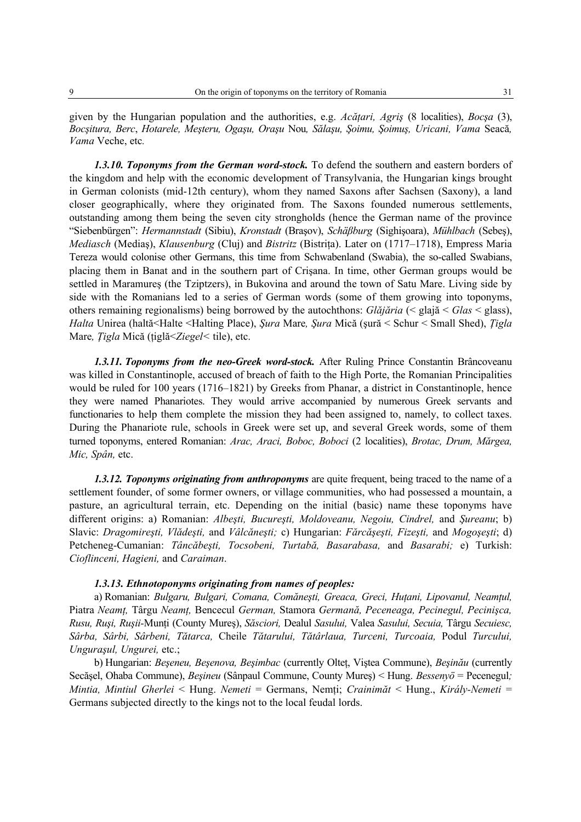given by the Hungarian population and the authorities, e.g. *Acăţari, Agriş* (8 localities), *Bocşa* (3), *Bocşitura, Berc*, *Hotarele, Meşteru, Ogaşu, Oraşu* Nou*, Sălaşu, Şoimu, Şoimuş, Uricani, Vama* Seacă*, Vama* Veche, etc*.*

*1.3.10. Toponyms from the German word-stock.* To defend the southern and eastern borders of the kingdom and help with the economic development of Transylvania, the Hungarian kings brought in German colonists (mid-12th century), whom they named Saxons after Sachsen (Saxony), a land closer geographically, where they originated from. The Saxons founded numerous settlements, outstanding among them being the seven city strongholds (hence the German name of the province "Siebenbürgen": *Hermannstadt* (Sibiu), *Kronstadt* (Braşov), *Schäβburg* (Sighişoara), *Mühlbach* (Sebeş), *Mediasch* (Medias), *Klausenburg* (Cluj) and *Bistritz* (Bistrita). Later on (1717–1718), Empress Maria Tereza would colonise other Germans, this time from Schwabenland (Swabia), the so-called Swabians, placing them in Banat and in the southern part of Crişana. In time, other German groups would be settled in Maramureş (the Tziptzers), in Bukovina and around the town of Satu Mare. Living side by side with the Romanians led to a series of German words (some of them growing into toponyms, others remaining regionalisms) being borrowed by the autochthons: *Glăjăria* (< glajă < *Glas* < glass), *Halta* Unirea (haltă<Halte <Halting Place), *Şura* Mare*, Şura* Mică (şură < Schur < Small Shed), *Ţigla*  Mare*, Ţigla* Mică (ţiglă<*Ziegel<* tile), etc.

*1.3.11. Toponyms from the neo-Greek word-stock.* After Ruling Prince Constantin Brâncoveanu was killed in Constantinople, accused of breach of faith to the High Porte, the Romanian Principalities would be ruled for 100 years (1716–1821) by Greeks from Phanar, a district in Constantinople, hence they were named Phanariotes. They would arrive accompanied by numerous Greek servants and functionaries to help them complete the mission they had been assigned to, namely, to collect taxes. During the Phanariote rule, schools in Greek were set up, and several Greek words, some of them turned toponyms, entered Romanian: *Arac, Araci, Boboc, Boboci* (2 localities), *Brotac, Drum, Mărgea, Mic, Spân,* etc.

**1.3.12. Toponyms originating from anthroponyms** are quite frequent, being traced to the name of a settlement founder, of some former owners, or village communities, who had possessed a mountain, a pasture, an agricultural terrain, etc. Depending on the initial (basic) name these toponyms have different origins: a) Romanian: *Albeşti, Bucureşti, Moldoveanu, Negoiu, Cindrel,* and *Şureanu*; b) Slavic: *Dragomireşti, Vlădeşti,* and *Vâlcăneşti;* c) Hungarian: *Fărcăşeşti, Fizeşti,* and *Mogoşeşti*; d) Petcheneg-Cumanian: *Tâncăbeşti, Tocsobeni, Turtabă, Basarabasa,* and *Basarabi;* e) Turkish: *Cioflinceni, Hagieni,* and *Caraiman*.

### *1.3.13. Ethnotoponyms originating from names of peoples:*

a) Romanian: *Bulgaru, Bulgari, Comana, Comănesti, Greaca, Greci, Hutani, Lipovanul, Neamtul,* Piatra *Neamţ,* Târgu *Neamţ,* Bencecul *German,* Stamora *Germană, Peceneaga, Pecinegul, Pecinişca, Rusu, Ruşi, Ruşii-*Munţi (County Mureş), *Săsciori,* Dealul *Sasului,* Valea *Sasului, Secuia,* Târgu *Secuiesc, Sârba, Sârbi, Sârbeni, Tătarca,* Cheile *Tătarului, Tătârlaua, Turceni, Turcoaia,* Podul *Turcului, Unguraşul, Ungurei,* etc.;

b) Hungarian: *Beşeneu, Beşenova, Beşimbac* (currently Olteţ, Viştea Commune), *Beşinău* (currently Secăşel, Ohaba Commune), *Beşineu* (Sânpaul Commune, County Mureş) < Hung. *Bessenyö* = Pecenegul*; Mintia, Mintiul Gherlei* < Hung. *Nemeti* = Germans, Nemti; *Crainimăt* < Hung., *Király-Nemeti* = Germans subjected directly to the kings not to the local feudal lords.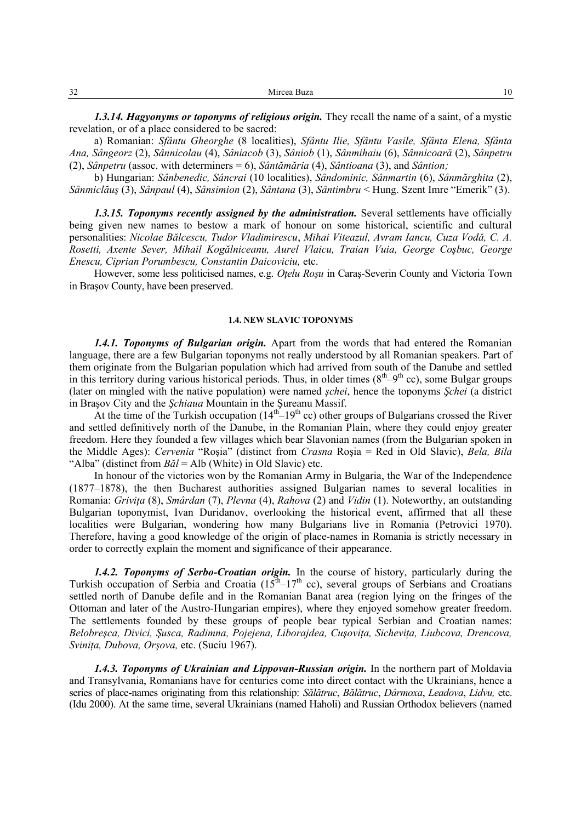| $\sim$<br>JZ. |  |
|---------------|--|
|               |  |

*1.3.14. Hagyonyms or toponyms of religious origin.* They recall the name of a saint, of a mystic revelation, or of a place considered to be sacred:

a) Romanian: *Sfântu Gheorghe* (8 localities), *Sfântu Ilie, Sfântu Vasile, Sfânta Elena, Sfânta Ana, Sângeorz* (2), *Sânnicolau* (4), *Sâniacob* (3), *Sâniob* (1), *Sânmihaiu* (6), *Sânnicoară* (2), *Sânpetru* (2), *Sânpetru* (assoc. with determiners = 6), *Sântămăria* (4), *Sântioana* (3), and *Sântion;*

b) Hungarian: *Sânbenedic, Sâncrai* (10 localities), *Sândominic, Sânmartin* (6), *Sânmărghita* (2), *Sânmiclăuş* (3), *Sânpaul* (4), *Sânsimion* (2), *Sântana* (3), *Sântimbru* < Hung. Szent Imre "Emerik" (3).

*1.3.15. Toponyms recently assigned by the administration.* Several settlements have officially being given new names to bestow a mark of honour on some historical, scientific and cultural personalities: *Nicolae Bălcescu, Tudor Vladimirescu*, *Mihai Viteazul, Avram Iancu, Cuza Vodă, C. A. Rosetti, Axente Sever, Mihail Kogălniceanu, Aurel Vlaicu, Traian Vuia, George Coşbuc, George Enescu, Ciprian Porumbescu, Constantin Daicoviciu,* etc.

However, some less politicised names, e.g. *Oţelu Roşu* in Caraş-Severin County and Victoria Town in Braşov County, have been preserved.

#### **1.4. NEW SLAVIC TOPONYMS**

*1.4.1. Toponyms of Bulgarian origin.* Apart from the words that had entered the Romanian language, there are a few Bulgarian toponyms not really understood by all Romanian speakers. Part of them originate from the Bulgarian population which had arrived from south of the Danube and settled in this territory during various historical periods. Thus, in older times  $(8<sup>th</sup>-9<sup>th</sup>$  cc), some Bulgar groups (later on mingled with the native population) were named *şchei*, hence the toponyms *Şchei* (a district in Braşov City and the *Şchiaua* Mountain in the Şureanu Massif.

At the time of the Turkish occupation  $(14<sup>th</sup>-19<sup>th</sup>$  cc) other groups of Bulgarians crossed the River and settled definitively north of the Danube, in the Romanian Plain, where they could enjoy greater freedom. Here they founded a few villages which bear Slavonian names (from the Bulgarian spoken in the Middle Ages): *Cervenia* "Roşia" (distinct from *Crasna* Roşia = Red in Old Slavic), *Bela, Bila* "Alba" (distinct from *Băl* = Alb (White) in Old Slavic) etc.

In honour of the victories won by the Romanian Army in Bulgaria, the War of the Independence (1877–1878), the then Bucharest authorities assigned Bulgarian names to several localities in Romania: *Griviţa* (8), *Smârdan* (7), *Plevna* (4), *Rahova* (2) and *Vidin* (1). Noteworthy, an outstanding Bulgarian toponymist, Ivan Duridanov, overlooking the historical event, affirmed that all these localities were Bulgarian, wondering how many Bulgarians live in Romania (Petrovici 1970). Therefore, having a good knowledge of the origin of place-names in Romania is strictly necessary in order to correctly explain the moment and significance of their appearance.

*1.4.2. Toponyms of Serbo-Croatian origin.* In the course of history, particularly during the Turkish occupation of Serbia and Croatia  $(15<sup>th</sup>-17<sup>th</sup>$  cc), several groups of Serbians and Croatians settled north of Danube defile and in the Romanian Banat area (region lying on the fringes of the Ottoman and later of the Austro-Hungarian empires), where they enjoyed somehow greater freedom. The settlements founded by these groups of people bear typical Serbian and Croatian names: *Belobreşca, Divici, Şusca, Radimna, Pojejena, Liborajdea, Cuşoviţa, Sicheviţa, Liubcova, Drencova, Sviniţa, Dubova, Orşova,* etc. (Suciu 1967).

*1.4.3. Toponyms of Ukrainian and Lippovan-Russian origin.* In the northern part of Moldavia and Transylvania, Romanians have for centuries come into direct contact with the Ukrainians, hence a series of place-names originating from this relationship: *Sălătruc*, *Bălătruc*, *Dârmoxa*, *Leadova*, *Lidvu,* etc. (Idu 2000). At the same time, several Ukrainians (named Haholi) and Russian Orthodox believers (named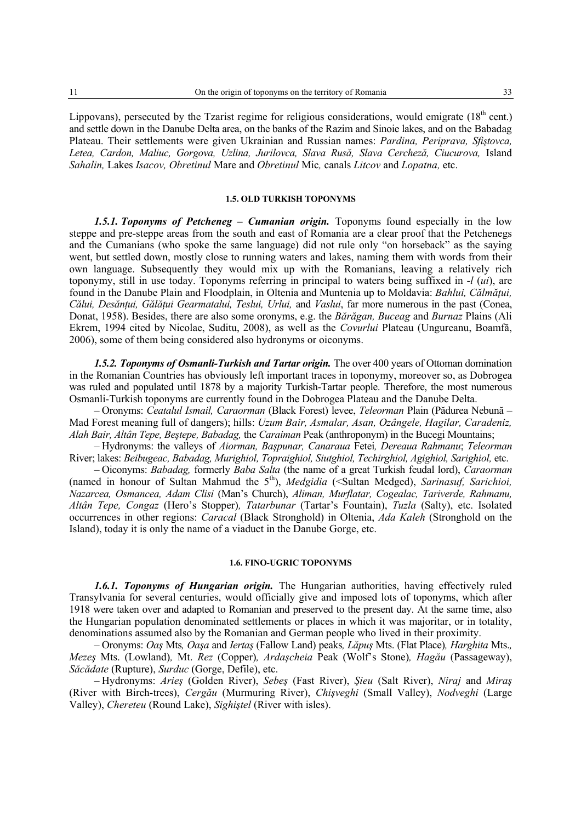Lippovans), persecuted by the Tzarist regime for religious considerations, would emigrate  $(18<sup>th</sup>$  cent.) and settle down in the Danube Delta area, on the banks of the Razim and Sinoie lakes, and on the Babadag Plateau. Their settlements were given Ukrainian and Russian names: *Pardina, Periprava, Sfiştovca, Letea, Cardon, Maliuc, Gorgova, Uzlina, Jurilovca, Slava Rusă, Slava Cercheză, Ciucurova,* Island *Sahalin,* Lakes *Isacov, Obretinul* Mare and *Obretinul* Mic*,* canals *Litcov* and *Lopatna,* etc.

### **1.5. OLD TURKISH TOPONYMS**

*1.5.1. Toponyms of Petcheneg – Cumanian origin.* Toponyms found especially in the low steppe and pre-steppe areas from the south and east of Romania are a clear proof that the Petchenegs and the Cumanians (who spoke the same language) did not rule only "on horseback" as the saying went, but settled down, mostly close to running waters and lakes, naming them with words from their own language. Subsequently they would mix up with the Romanians, leaving a relatively rich toponymy, still in use today. Toponyms referring in principal to waters being suffixed in -*l* (*ui*), are found in the Danube Plain and Floodplain, in Oltenia and Muntenia up to Moldavia: *Bahlui, Călmăţui, Călui, Desănţui, Gălăţui Gearmatalui, Teslui, Urlui,* and *Vaslui*, far more numerous in the past (Conea, Donat, 1958). Besides, there are also some oronyms, e.g. the *Bărăgan, Buceag* and *Burnaz* Plains (Ali Ekrem, 1994 cited by Nicolae, Suditu, 2008), as well as the *Covurlui* Plateau (Ungureanu, Boamfă, 2006), some of them being considered also hydronyms or oiconyms.

*1.5.2. Toponyms of Osmanli-Turkish and Tartar origin.* The over 400 years of Ottoman domination in the Romanian Countries has obviously left important traces in toponymy, moreover so, as Dobrogea was ruled and populated until 1878 by a majority Turkish-Tartar people. Therefore, the most numerous Osmanli-Turkish toponyms are currently found in the Dobrogea Plateau and the Danube Delta.

– Oronyms: *Ceatalul Ismail, Caraorman* (Black Forest) levee, *Teleorman* Plain (Pădurea Nebună – Mad Forest meaning full of dangers); hills: *Uzum Bair, Asmalar, Asan, Ozângele, Hagilar, Caradeniz, Alah Bair, Altân Tepe, Beştepe, Babadag,* the *Caraiman* Peak (anthroponym) in the Bucegi Mountains;

– Hydronyms: the valleys of *Aiorman, Başpunar, Canaraua* Fetei*, Dereaua Rahmanu*; *Teleorman*  River; lakes: *Beibugeac, Babadag, Murighiol, Topraighiol, Siutghiol, Techirghiol, Agighiol, Sarighiol,* etc.

– Oiconyms: *Babadag,* formerly *Baba Salta* (the name of a great Turkish feudal lord), *Caraorman* (named in honour of Sultan Mahmud the 5<sup>th</sup>), *Medgidia* (<Sultan Medged), *Sarinasuf, Sarichioi*, *Nazarcea, Osmancea, Adam Clisi* (Man's Church), *Aliman, Murflatar, Cogealac, Tariverde, Rahmanu, Altân Tepe, Congaz* (Hero's Stopper)*, Tatarbunar* (Tartar's Fountain), *Tuzla* (Salty), etc. Isolated occurrences in other regions: *Caracal* (Black Stronghold) in Oltenia, *Ada Kaleh* (Stronghold on the Island), today it is only the name of a viaduct in the Danube Gorge, etc.

### **1.6. FINO-UGRIC TOPONYMS**

*1.6.1. Toponyms of Hungarian origin.* The Hungarian authorities, having effectively ruled Transylvania for several centuries, would officially give and imposed lots of toponyms, which after 1918 were taken over and adapted to Romanian and preserved to the present day. At the same time, also the Hungarian population denominated settlements or places in which it was majoritar, or in totality, denominations assumed also by the Romanian and German people who lived in their proximity.

– Oronyms: *Oaş* Mts*, Oaşa* and *Iertaş* (Fallow Land) peaks*, Lăpuş* Mts. (Flat Place)*, Harghita* Mts.*, Mezeş* Mts. (Lowland)*,* Mt. *Rez* (Copper)*, Ardaşcheia* Peak (Wolf's Stone)*, Hagău* (Passageway), *Săcădate* (Rupture), *Surduc* (Gorge, Defile), etc.

– Hydronyms: *Arieş* (Golden River), *Sebeş* (Fast River), *Şieu* (Salt River), *Niraj* and *Miraş* (River with Birch-trees), *Cergău* (Murmuring River), *Chişveghi* (Small Valley), *Nodveghi* (Large Valley), *Chereteu* (Round Lake), *Sighiştel* (River with isles).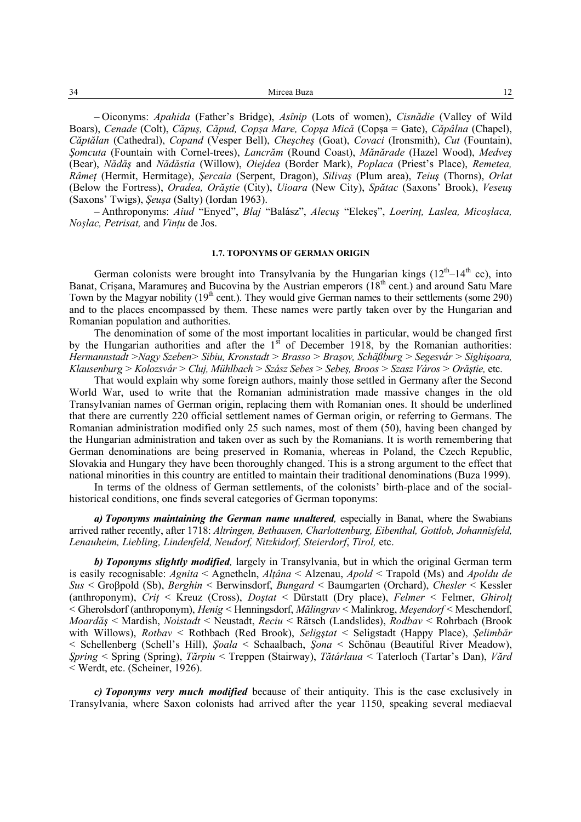| 34<br>Mircea Buza<br>້ |  |
|------------------------|--|
|------------------------|--|

– Oiconyms: *Apahida* (Father's Bridge), *Asînip* (Lots of women), *Cisnădie* (Valley of Wild Boars), *Cenade* (Colt), *Căpuş, Căpud, Copşa Mare, Copşa Mică* (Copşa = Gate), *Căpâlna* (Chapel), *Căptălan* (Cathedral), *Copand* (Vesper Bell), *Cheşcheş* (Goat), *Covaci* (Ironsmith), *Cut* (Fountain), *Şomcuta* (Fountain with Cornel-trees), *Lancrăm* (Round Coast), *Mănărade* (Hazel Wood), *Medveş* (Bear), *Nădăş* and *Nădăstia* (Willow), *Oiejdea* (Border Mark), *Poplaca* (Priest's Place), *Remetea, Râmeţ* (Hermit, Hermitage), *Şercaia* (Serpent, Dragon), *Silivaş* (Plum area), *Teiuş* (Thorns), *Orlat* (Below the Fortress), *Oradea, Orăştie* (City), *Uioara* (New City), *Spătac* (Saxons' Brook), *Veseuş*  (Saxons' Twigs), *Şeuşa* (Salty) (Iordan 1963).

– Anthroponyms: *Aiud* "Enyed", *Blaj* "Balász", *Alecuş* "Elekeş", *Loerinţ, Laslea, Micoşlaca, Noşlac, Petrisat,* and *Vinţu* de Jos.

#### **1.7. TOPONYMS OF GERMAN ORIGIN**

German colonists were brought into Transylvania by the Hungarian kings  $(12<sup>th</sup>-14<sup>th</sup>$  cc), into Banat, Crisana, Maramures and Bucovina by the Austrian emperors (18<sup>th</sup> cent.) and around Satu Mare Town by the Magyar nobility (19<sup>th</sup> cent.). They would give German names to their settlements (some 290) and to the places encompassed by them. These names were partly taken over by the Hungarian and Romanian population and authorities.

The denomination of some of the most important localities in particular, would be changed first by the Hungarian authorities and after the  $1<sup>st</sup>$  of December 1918, by the Romanian authorities: *Hermannstadt >Nagy Szeben> Sibiu, Kronstadt > Brasso > Braşov, Schäßburg > Segesvár > Sighişoara, Klausenburg > Kolozsvár > Cluj, Mühlbach > Szász Sebes > Sebeş, Broos > Szasz Város > Orăştie,* etc.

That would explain why some foreign authors, mainly those settled in Germany after the Second World War, used to write that the Romanian administration made massive changes in the old Transylvanian names of German origin, replacing them with Romanian ones. It should be underlined that there are currently 220 official settlement names of German origin, or referring to Germans. The Romanian administration modified only 25 such names, most of them (50), having been changed by the Hungarian administration and taken over as such by the Romanians. It is worth remembering that German denominations are being preserved in Romania, whereas in Poland, the Czech Republic, Slovakia and Hungary they have been thoroughly changed. This is a strong argument to the effect that national minorities in this country are entitled to maintain their traditional denominations (Buza 1999).

In terms of the oldness of German settlements, of the colonists' birth-place and of the socialhistorical conditions, one finds several categories of German toponyms:

*a) Toponyms maintaining the German name unaltered,* especially in Banat, where the Swabians arrived rather recently, after 1718: *Altringen, Bethausen, Charlottenburg, Eibenthal, Gottlob, Johannisfeld, Lenauheim, Liebling, Lindenfeld, Neudorf, Nitzkidorf, Steierdorf*, *Tirol,* etc.

*b) Toponyms slightly modified,* largely in Transylvania, but in which the original German term is easily recognisable: *Agnita* < Agnetheln, *Alţâna* < Alzenau, *Apold* < Trapold (Ms) and *Apoldu de Sus* < Groβpold (Sb), *Berghin* < Berwinsdorf, *Bungard* < Baumgarten (Orchard), *Chesler* < Kessler (anthroponym), *Criţ* < Kreuz (Cross), *Doştat* < Dürstatt (Dry place), *Felmer* < Felmer, *Ghirolţ* < Gherolsdorf (anthroponym), *Henig* < Henningsdorf, *Mălingrav* < Malinkrog, *Meşendorf* < Meschendorf, *Moardăş* < Mardish, *Noistadt* < Neustadt, *Reciu* < Rätsch (Landslides), *Rodbav* < Rohrbach (Brook with Willows), *Rotbav* < Rothbach (Red Brook), *Seligştat* < Seligstadt (Happy Place), *Şelimbăr* < Schellenberg (Schell's Hill), *Şoala* < Schaalbach, *Şona* < Schönau (Beautiful River Meadow), *Şpring* < Spring (Spring), *Tărpiu* < Treppen (Stairway), *Tătârlaua* < Taterloch (Tartar's Dan), *Vărd* < Werdt, etc. (Scheiner, 1926).

*c) Toponyms very much modified* because of their antiquity. This is the case exclusively in Transylvania, where Saxon colonists had arrived after the year 1150, speaking several mediaeval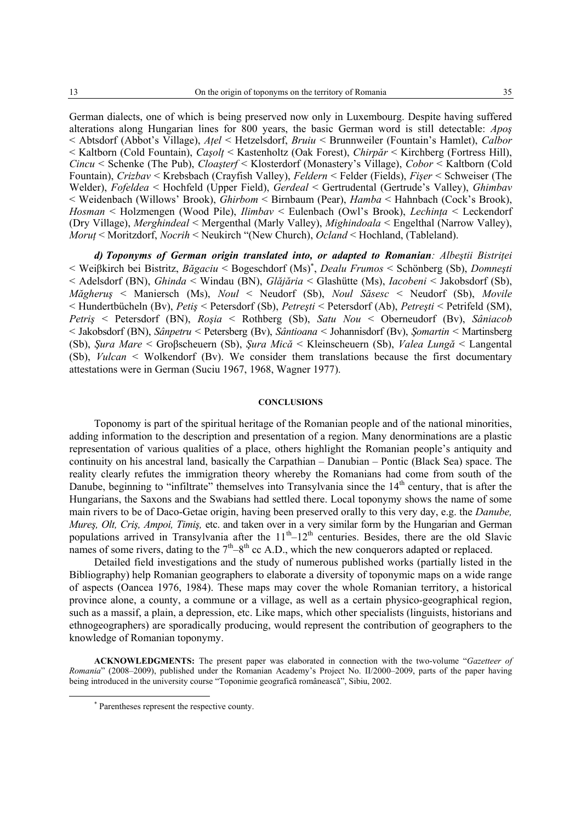German dialects, one of which is being preserved now only in Luxembourg. Despite having suffered alterations along Hungarian lines for 800 years, the basic German word is still detectable: *Apoş* < Abtsdorf (Abbot's Village), *Aţel* < Hetzelsdorf, *Bruiu* < Brunnweiler (Fountain's Hamlet), *Calbor*  < Kaltborn (Cold Fountain), *Caşolţ* < Kastenholtz (Oak Forest), *Chirpăr* < Kirchberg (Fortress Hill), *Cincu* < Schenke (The Pub), *Cloaşterf* < Klosterdorf (Monastery's Village), *Cobor* < Kaltborn (Cold Fountain), *Crizbav* < Krebsbach (Crayfish Valley), *Feldern* < Felder (Fields), *Fişer* < Schweiser (The Welder), *Fofeldea* < Hochfeld (Upper Field), *Gerdeal* < Gertrudental (Gertrude's Valley), *Ghimbav* < Weidenbach (Willows' Brook), *Ghirbom* < Birnbaum (Pear), *Hamba* < Hahnbach (Cock's Brook), *Hosman* < Holzmengen (Wood Pile), *Ilimbav* < Eulenbach (Owl's Brook), *Lechinţa* < Leckendorf (Dry Village), *Merghindeal* < Mergenthal (Marly Valley), *Mighindoala* < Engelthal (Narrow Valley), *Moruţ* < Moritzdorf, *Nocrih* < Neukirch "(New Church), *Ocland* < Hochland, (Tableland).

*d) Toponyms of German origin translated into, or adapted to Romanian: Albeştii Bistriţei*  < Weiβkirch bei Bistritz, *Băgaciu* < Bogeschdorf (Ms)<sup>∗</sup> , *Dealu Frumos* < Schönberg (Sb), *Domneşti* < Adelsdorf (BN), *Ghinda* < Windau (BN), *Glăjăria* < Glashütte (Ms), *Iacobeni* < Jakobsdorf (Sb), *Măgheruş* < Maniersch (Ms), *Noul* < Neudorf (Sb), *Noul Săsesc* < Neudorf (Sb), *Movile* < Hundertbücheln (Bv), *Petiş* < Petersdorf (Sb), *Petreşti* < Petersdorf (Ab), *Petreşti* < Petrifeld (SM), *Petriş* < Petersdorf (BN), *Roşia* < Rothberg (Sb), *Satu Nou* < Oberneudorf (Bv), *Sâniacob* < Jakobsdorf (BN), *Sânpetru* < Petersberg (Bv), *Sântioana* < Johannisdorf (Bv), *Şomartin* < Martinsberg (Sb), *Şura Mare* < Groβscheuern (Sb), *Şura Mică* < Kleinscheuern (Sb), *Valea Lungă* < Langental (Sb), *Vulcan* < Wolkendorf (Bv). We consider them translations because the first documentary attestations were in German (Suciu 1967, 1968, Wagner 1977).

#### **CONCLUSIONS**

Toponomy is part of the spiritual heritage of the Romanian people and of the national minorities, adding information to the description and presentation of a region. Many denorminations are a plastic representation of various qualities of a place, others highlight the Romanian people's antiquity and continuity on his ancestral land, basically the Carpathian – Danubian – Pontic (Black Sea) space. The reality clearly refutes the immigration theory whereby the Romanians had come from south of the Danube, beginning to "infiltrate" themselves into Transylvania since the 14<sup>th</sup> century, that is after the Hungarians, the Saxons and the Swabians had settled there. Local toponymy shows the name of some main rivers to be of Daco-Getae origin, having been preserved orally to this very day, e.g. the *Danube, Mureş, Olt, Criş, Ampoi, Timiş,* etc. and taken over in a very similar form by the Hungarian and German populations arrived in Transylvania after the  $11<sup>th</sup>-12<sup>th</sup>$  centuries. Besides, there are the old Slavic names of some rivers, dating to the  $7<sup>th</sup>-8<sup>th</sup>$  cc A.D., which the new conquerors adapted or replaced.

Detailed field investigations and the study of numerous published works (partially listed in the Bibliography) help Romanian geographers to elaborate a diversity of toponymic maps on a wide range of aspects (Oancea 1976, 1984). These maps may cover the whole Romanian territory, a historical province alone, a county, a commune or a village, as well as a certain physico-geographical region, such as a massif, a plain, a depression, etc. Like maps, which other specialists (linguists, historians and ethnogeographers) are sporadically producing, would represent the contribution of geographers to the knowledge of Romanian toponymy.

**ACKNOWLEDGMENTS:** The present paper was elaborated in connection with the two-volume "*Gazetteer of Romania*" (2008–2009), published under the Romanian Academy's Project No. II/2000–2009, parts of the paper having being introduced in the university course "Toponimie geografică românească", Sibiu, 2002.

l

<sup>∗</sup> Parentheses represent the respective county.